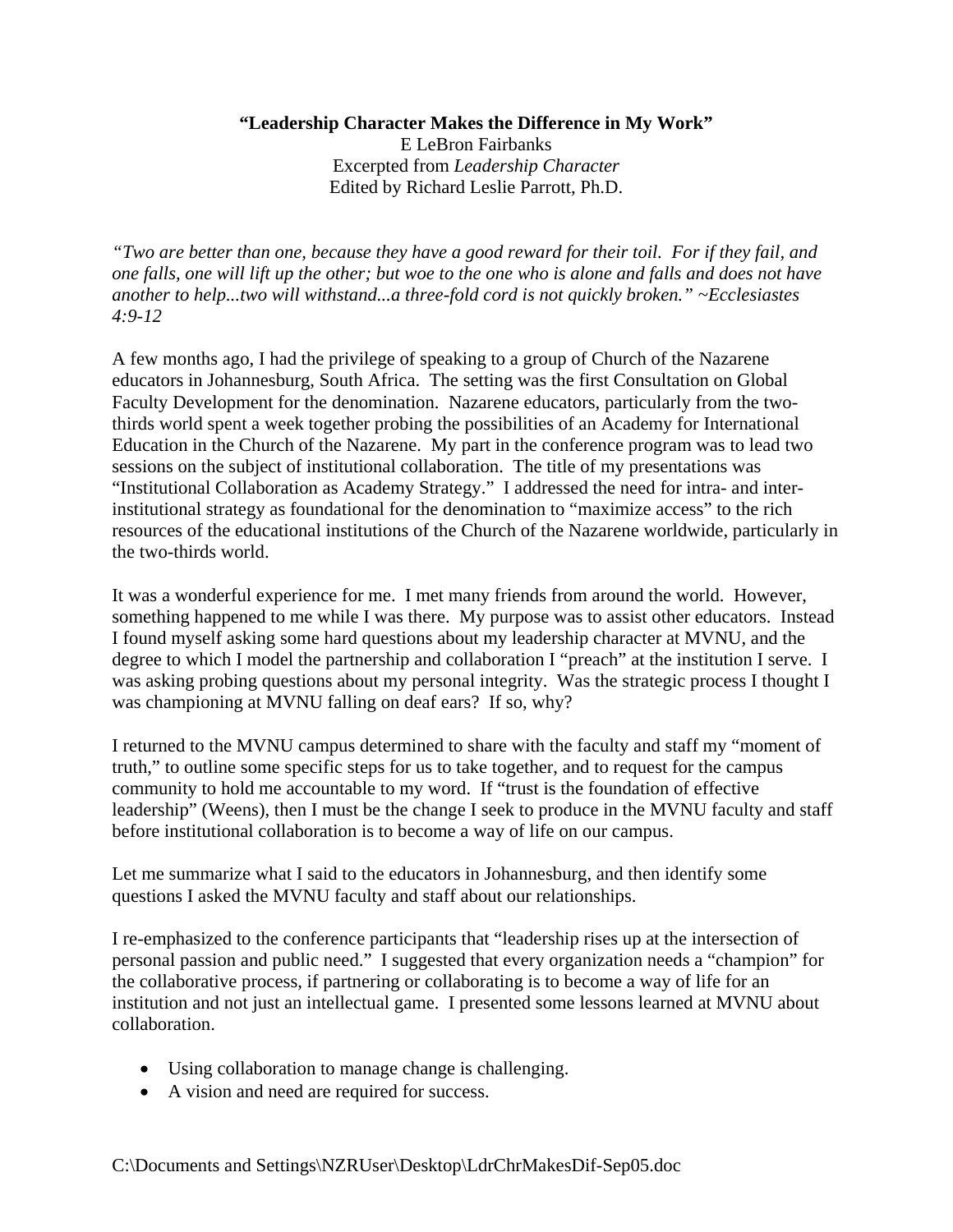## **"Leadership Character Makes the Difference in My Work"**  E LeBron Fairbanks Excerpted from *Leadership Character*  Edited by Richard Leslie Parrott, Ph.D.

*"Two are better than one, because they have a good reward for their toil. For if they fail, and one falls, one will lift up the other; but woe to the one who is alone and falls and does not have another to help...two will withstand...a three-fold cord is not quickly broken." ~Ecclesiastes 4:9-12* 

A few months ago, I had the privilege of speaking to a group of Church of the Nazarene educators in Johannesburg, South Africa. The setting was the first Consultation on Global Faculty Development for the denomination. Nazarene educators, particularly from the twothirds world spent a week together probing the possibilities of an Academy for International Education in the Church of the Nazarene. My part in the conference program was to lead two sessions on the subject of institutional collaboration. The title of my presentations was "Institutional Collaboration as Academy Strategy." I addressed the need for intra- and interinstitutional strategy as foundational for the denomination to "maximize access" to the rich resources of the educational institutions of the Church of the Nazarene worldwide, particularly in the two-thirds world.

It was a wonderful experience for me. I met many friends from around the world. However, something happened to me while I was there. My purpose was to assist other educators. Instead I found myself asking some hard questions about my leadership character at MVNU, and the degree to which I model the partnership and collaboration I "preach" at the institution I serve. I was asking probing questions about my personal integrity. Was the strategic process I thought I was championing at MVNU falling on deaf ears? If so, why?

I returned to the MVNU campus determined to share with the faculty and staff my "moment of truth," to outline some specific steps for us to take together, and to request for the campus community to hold me accountable to my word. If "trust is the foundation of effective leadership" (Weens), then I must be the change I seek to produce in the MVNU faculty and staff before institutional collaboration is to become a way of life on our campus.

Let me summarize what I said to the educators in Johannesburg, and then identify some questions I asked the MVNU faculty and staff about our relationships.

I re-emphasized to the conference participants that "leadership rises up at the intersection of personal passion and public need." I suggested that every organization needs a "champion" for the collaborative process, if partnering or collaborating is to become a way of life for an institution and not just an intellectual game. I presented some lessons learned at MVNU about collaboration.

- Using collaboration to manage change is challenging.
- A vision and need are required for success.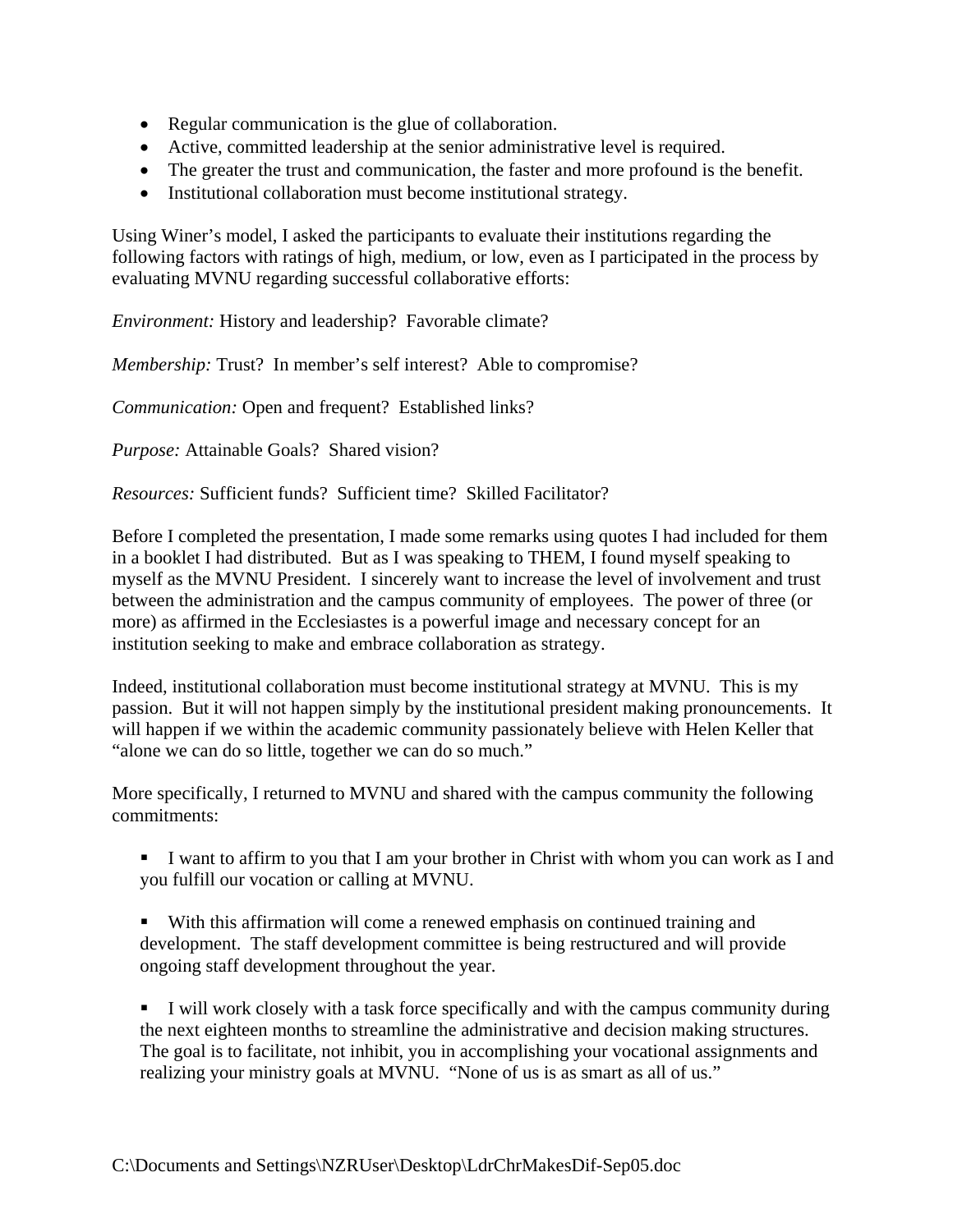- Regular communication is the glue of collaboration.
- Active, committed leadership at the senior administrative level is required.
- The greater the trust and communication, the faster and more profound is the benefit.
- Institutional collaboration must become institutional strategy.

Using Winer's model, I asked the participants to evaluate their institutions regarding the following factors with ratings of high, medium, or low, even as I participated in the process by evaluating MVNU regarding successful collaborative efforts:

*Environment:* History and leadership? Favorable climate?

*Membership:* Trust? In member's self interest? Able to compromise?

*Communication:* Open and frequent? Established links?

*Purpose:* Attainable Goals? Shared vision?

*Resources:* Sufficient funds? Sufficient time? Skilled Facilitator?

Before I completed the presentation, I made some remarks using quotes I had included for them in a booklet I had distributed. But as I was speaking to THEM, I found myself speaking to myself as the MVNU President. I sincerely want to increase the level of involvement and trust between the administration and the campus community of employees. The power of three (or more) as affirmed in the Ecclesiastes is a powerful image and necessary concept for an institution seeking to make and embrace collaboration as strategy.

Indeed, institutional collaboration must become institutional strategy at MVNU. This is my passion. But it will not happen simply by the institutional president making pronouncements. It will happen if we within the academic community passionately believe with Helen Keller that "alone we can do so little, together we can do so much."

More specifically, I returned to MVNU and shared with the campus community the following commitments:

 I want to affirm to you that I am your brother in Christ with whom you can work as I and you fulfill our vocation or calling at MVNU.

 With this affirmation will come a renewed emphasis on continued training and development. The staff development committee is being restructured and will provide ongoing staff development throughout the year.

 I will work closely with a task force specifically and with the campus community during the next eighteen months to streamline the administrative and decision making structures. The goal is to facilitate, not inhibit, you in accomplishing your vocational assignments and realizing your ministry goals at MVNU. "None of us is as smart as all of us."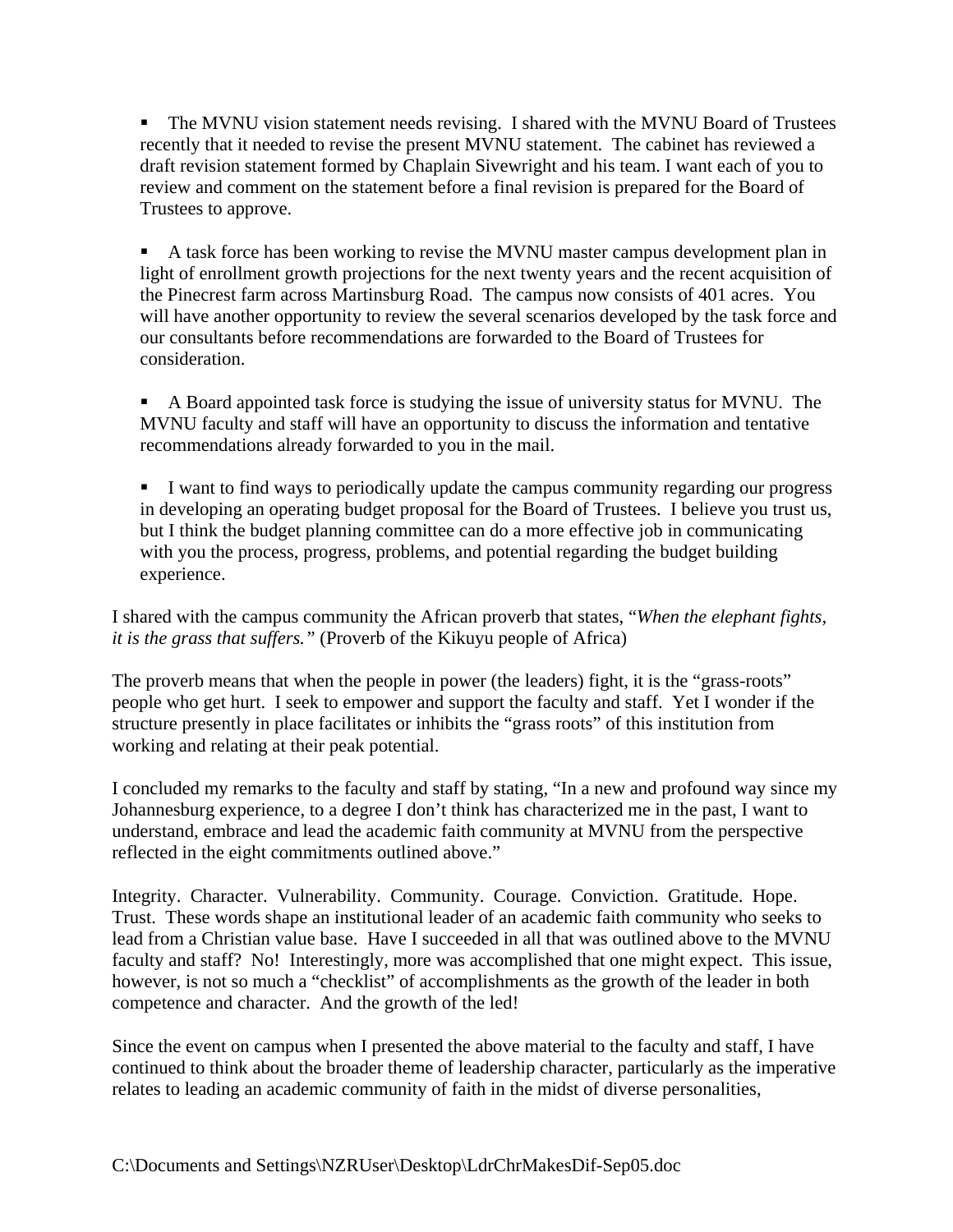• The MVNU vision statement needs revising. I shared with the MVNU Board of Trustees recently that it needed to revise the present MVNU statement. The cabinet has reviewed a draft revision statement formed by Chaplain Sivewright and his team. I want each of you to review and comment on the statement before a final revision is prepared for the Board of Trustees to approve.

A task force has been working to revise the MVNU master campus development plan in light of enrollment growth projections for the next twenty years and the recent acquisition of the Pinecrest farm across Martinsburg Road. The campus now consists of 401 acres. You will have another opportunity to review the several scenarios developed by the task force and our consultants before recommendations are forwarded to the Board of Trustees for consideration.

 A Board appointed task force is studying the issue of university status for MVNU. The MVNU faculty and staff will have an opportunity to discuss the information and tentative recommendations already forwarded to you in the mail.

 I want to find ways to periodically update the campus community regarding our progress in developing an operating budget proposal for the Board of Trustees. I believe you trust us, but I think the budget planning committee can do a more effective job in communicating with you the process, progress, problems, and potential regarding the budget building experience.

I shared with the campus community the African proverb that states, "*When the elephant fights, it is the grass that suffers."* (Proverb of the Kikuyu people of Africa)

The proverb means that when the people in power (the leaders) fight, it is the "grass-roots" people who get hurt. I seek to empower and support the faculty and staff. Yet I wonder if the structure presently in place facilitates or inhibits the "grass roots" of this institution from working and relating at their peak potential.

I concluded my remarks to the faculty and staff by stating, "In a new and profound way since my Johannesburg experience, to a degree I don't think has characterized me in the past, I want to understand, embrace and lead the academic faith community at MVNU from the perspective reflected in the eight commitments outlined above."

Integrity. Character. Vulnerability. Community. Courage. Conviction. Gratitude. Hope. Trust. These words shape an institutional leader of an academic faith community who seeks to lead from a Christian value base. Have I succeeded in all that was outlined above to the MVNU faculty and staff? No! Interestingly, more was accomplished that one might expect. This issue, however, is not so much a "checklist" of accomplishments as the growth of the leader in both competence and character. And the growth of the led!

Since the event on campus when I presented the above material to the faculty and staff, I have continued to think about the broader theme of leadership character, particularly as the imperative relates to leading an academic community of faith in the midst of diverse personalities,